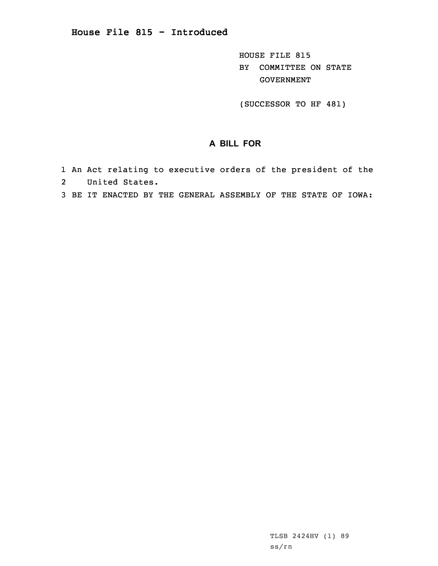## **House File 815 - Introduced**

HOUSE FILE 815 BY COMMITTEE ON STATE GOVERNMENT

(SUCCESSOR TO HF 481)

## **A BILL FOR**

- 1 An Act relating to executive orders of the president of the 2 United States.
- 3 BE IT ENACTED BY THE GENERAL ASSEMBLY OF THE STATE OF IOWA: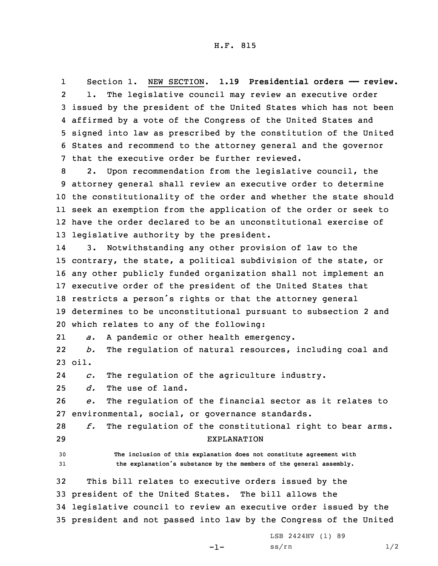1 Section 1. NEW SECTION. **1.19 Presidential orders —— review.** 2 1. The legislative council may review an executive order 3 issued by the president of the United States which has not been 4 affirmed by <sup>a</sup> vote of the Congress of the United States and 5 signed into law as prescribed by the constitution of the United 6 States and recommend to the attorney general and the governor 7 that the executive order be further reviewed.

 2. Upon recommendation from the legislative council, the attorney general shall review an executive order to determine the constitutionality of the order and whether the state should seek an exemption from the application of the order or seek to have the order declared to be an unconstitutional exercise of legislative authority by the president.

14 3. Notwithstanding any other provision of law to the contrary, the state, <sup>a</sup> political subdivision of the state, or any other publicly funded organization shall not implement an executive order of the president of the United States that restricts <sup>a</sup> person's rights or that the attorney general determines to be unconstitutional pursuant to subsection 2 and which relates to any of the following:

21*a.* <sup>A</sup> pandemic or other health emergency.

22 *b.* The regulation of natural resources, including coal and 23 oil.

24*c.* The regulation of the agriculture industry.

25 *d.* The use of land.

26 *e.* The regulation of the financial sector as it relates to 27 environmental, social, or governance standards.

28 *f.* The regulation of the constitutional right to bear arms. 29 EXPLANATION

30 **The inclusion of this explanation does not constitute agreement with** <sup>31</sup> **the explanation's substance by the members of the general assembly.**

 This bill relates to executive orders issued by the president of the United States. The bill allows the legislative council to review an executive order issued by the president and not passed into law by the Congress of the United

-1-

LSB 2424HV (1) 89  $ss/rn$  1/2